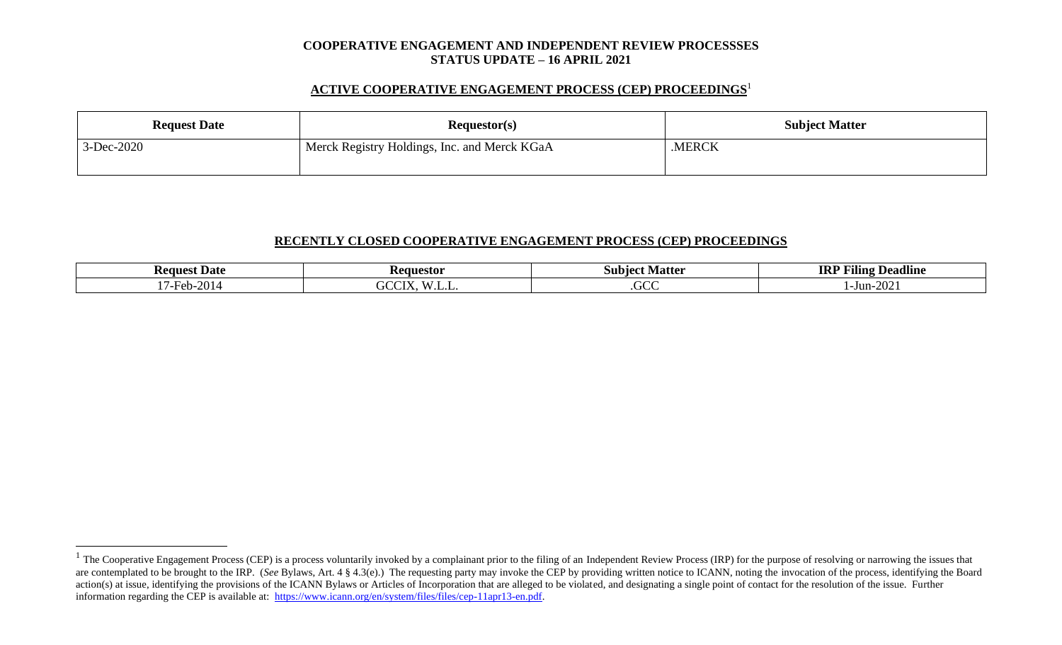#### **COOPERATIVE ENGAGEMENT AND INDEPENDENT REVIEW PROCESSSES STATUS UPDATE – 16 APRIL 2021**

### **ACTIVE COOPERATIVE ENGAGEMENT PROCESS (CEP) PROCEEDINGS** 1

| <b>Request Date</b> | Requestor(s)                                 | <b>Subject Matter</b> |  |
|---------------------|----------------------------------------------|-----------------------|--|
| 3-Dec-2020          | Merck Registry Holdings, Inc. and Merck KGaA | .MERCK                |  |

#### **RECENTLY CLOSED COOPERATIVE ENGAGEMENT PROCESS (CEP) PROCEEDINGS**

| <b>Request Date</b>                         | Requestor                                                        | Matter<br>subiect | $\blacksquare$<br><b>IRI</b><br>----<br><b>Deadline</b><br>Filing |
|---------------------------------------------|------------------------------------------------------------------|-------------------|-------------------------------------------------------------------|
| $\mathbf{A}$ $\mathbf{A}$<br>$Heb-z$<br>,,, | $\mathbf{W}$ $\mathbf{I}$<br>$\sim$ TV $\tau$<br>ے ت<br><u>.</u> | $\sim$<br>JUU.    | $\mathbf{a}\mathbf{a}$<br>-Jun-l<br>-2012                         |

 $1$  The Cooperative Engagement Process (CEP) is a process voluntarily invoked by a complainant prior to the filing of an Independent Review Process (IRP) for the purpose of resolving or narrowing the issues that are contemplated to be brought to the IRP. (*See* Bylaws, Art. 4 § 4.3(e).) The requesting party may invoke the CEP by providing written notice to ICANN, noting the invocation of the process, identifying the Board action(s) at issue, identifying the provisions of the ICANN Bylaws or Articles of Incorporation that are alleged to be violated, and designating a single point of contact for the resolution of the issue. Further information regarding the CEP is available at: [https://www.icann.org/en/system/files/files/cep-11apr13-en.pdf.](https://www.icann.org/en/system/files/files/cep-11apr13-en.pdf)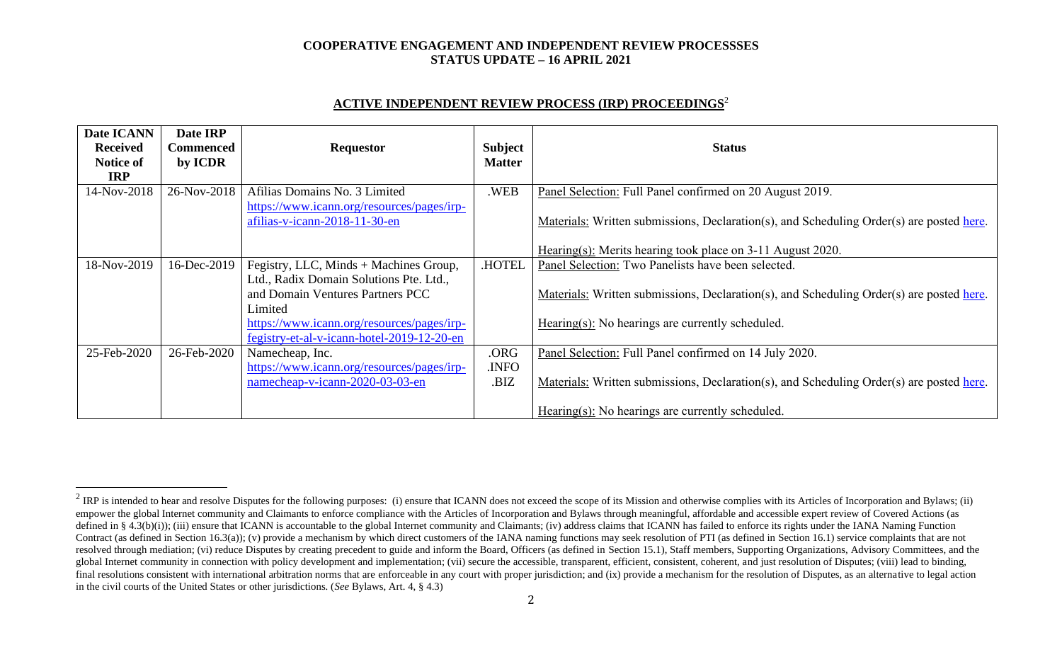### **COOPERATIVE ENGAGEMENT AND INDEPENDENT REVIEW PROCESSSES STATUS UPDATE – 16 APRIL 2021**

# **ACTIVE INDEPENDENT REVIEW PROCESS (IRP) PROCEEDINGS** 2

| Date ICANN<br><b>Received</b><br>Notice of<br><b>IRP</b> | Date IRP<br>Commenced<br>by ICDR | <b>Requestor</b>                                                            | <b>Subject</b><br><b>Matter</b> | <b>Status</b>                                                                            |  |
|----------------------------------------------------------|----------------------------------|-----------------------------------------------------------------------------|---------------------------------|------------------------------------------------------------------------------------------|--|
| 14-Nov-2018                                              | 26-Nov-2018                      | Afilias Domains No. 3 Limited<br>https://www.icann.org/resources/pages/irp- | .WEB                            | Panel Selection: Full Panel confirmed on 20 August 2019.                                 |  |
|                                                          |                                  | afilias-v-icann-2018-11-30-en                                               |                                 | Materials: Written submissions, Declaration(s), and Scheduling Order(s) are posted here. |  |
|                                                          |                                  |                                                                             |                                 | Hearing(s): Merits hearing took place on 3-11 August 2020.                               |  |
| 18-Nov-2019                                              | 16-Dec-2019                      | Fegistry, LLC, Minds + Machines Group,                                      | <b>HOTEL</b>                    | Panel Selection: Two Panelists have been selected.                                       |  |
|                                                          |                                  | Ltd., Radix Domain Solutions Pte. Ltd.,                                     |                                 |                                                                                          |  |
|                                                          |                                  | and Domain Ventures Partners PCC                                            |                                 | Materials: Written submissions, Declaration(s), and Scheduling Order(s) are posted here. |  |
|                                                          |                                  | Limited                                                                     |                                 |                                                                                          |  |
|                                                          |                                  | https://www.icann.org/resources/pages/irp-                                  |                                 | $Hearing(s)$ : No hearings are currently scheduled.                                      |  |
|                                                          |                                  | fegistry-et-al-v-icann-hotel-2019-12-20-en                                  |                                 |                                                                                          |  |
| 25-Feb-2020                                              | 26-Feb-2020                      | Namecheap, Inc.                                                             | .ORG                            | Panel Selection: Full Panel confirmed on 14 July 2020.                                   |  |
|                                                          |                                  | https://www.icann.org/resources/pages/irp-                                  | .INFO                           |                                                                                          |  |
|                                                          |                                  | namecheap-v-icann-2020-03-03-en                                             | .BIZ                            | Materials: Written submissions, Declaration(s), and Scheduling Order(s) are posted here. |  |
|                                                          |                                  |                                                                             |                                 | Hearing(s): No hearings are currently scheduled.                                         |  |

<sup>&</sup>lt;sup>2</sup> IRP is intended to hear and resolve Disputes for the following purposes: (i) ensure that ICANN does not exceed the scope of its Mission and otherwise complies with its Articles of Incorporation and Bylaws; (ii) empower the global Internet community and Claimants to enforce compliance with the Articles of Incorporation and Bylaws through meaningful, affordable and accessible expert review of Covered Actions (as defined in § 4.3(b)(i)); (iii) ensure that ICANN is accountable to the global Internet community and Claimants; (iv) address claims that ICANN has failed to enforce its rights under the IANA Naming Function Contract (as defined in Section 16.3(a)); (v) provide a mechanism by which direct customers of the IANA naming functions may seek resolution of PTI (as defined in Section 16.1) service complaints that are not resolved through mediation; (vi) reduce Disputes by creating precedent to guide and inform the Board, Officers (as defined in Section 15.1), Staff members, Supporting Organizations, Advisory Committees, and the global Internet community in connection with policy development and implementation; (vii) secure the accessible, transparent, efficient, consistent, coherent, and just resolution of Disputes; (viii) lead to binding, final resolutions consistent with international arbitration norms that are enforceable in any court with proper jurisdiction; and (ix) provide a mechanism for the resolution of Disputes, as an alternative to legal action in the civil courts of the United States or other jurisdictions. (*See* Bylaws, Art. 4, § 4.3)